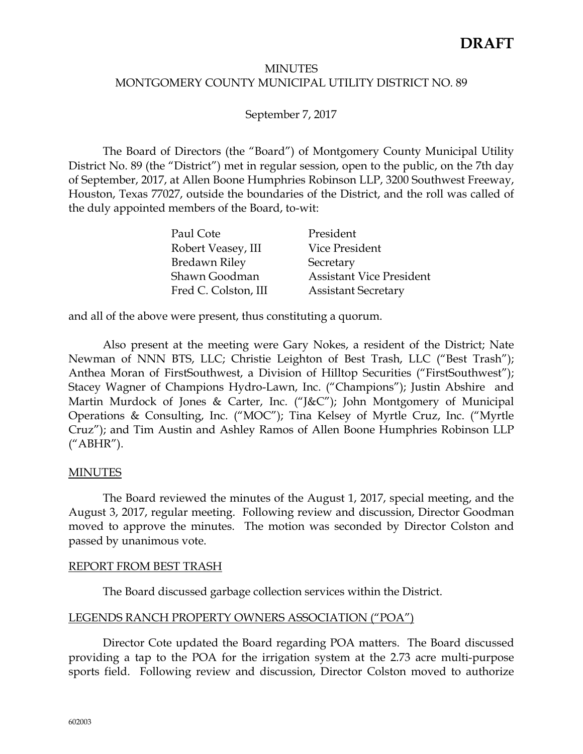#### **MINUTES** MONTGOMERY COUNTY MUNICIPAL UTILITY DISTRICT NO. 89

## September 7, 2017

The Board of Directors (the "Board") of Montgomery County Municipal Utility District No. 89 (the "District") met in regular session, open to the public, on the 7th day of September, 2017, at Allen Boone Humphries Robinson LLP, 3200 Southwest Freeway, Houston, Texas 77027, outside the boundaries of the District, and the roll was called of the duly appointed members of the Board, to-wit:

| Paul Cote            | President                       |
|----------------------|---------------------------------|
| Robert Veasey, III   | Vice President                  |
| <b>Bredawn Riley</b> | Secretary                       |
| Shawn Goodman        | <b>Assistant Vice President</b> |
| Fred C. Colston, III | <b>Assistant Secretary</b>      |

and all of the above were present, thus constituting a quorum.

Also present at the meeting were Gary Nokes, a resident of the District; Nate Newman of NNN BTS, LLC; Christie Leighton of Best Trash, LLC ("Best Trash"); Anthea Moran of FirstSouthwest, a Division of Hilltop Securities ("FirstSouthwest"); Stacey Wagner of Champions Hydro-Lawn, Inc. ("Champions"); Justin Abshire and Martin Murdock of Jones & Carter, Inc. ("J&C"); John Montgomery of Municipal Operations & Consulting, Inc. ("MOC"); Tina Kelsey of Myrtle Cruz, Inc. ("Myrtle Cruz"); and Tim Austin and Ashley Ramos of Allen Boone Humphries Robinson LLP ("ABHR").

## MINUTES

The Board reviewed the minutes of the August 1, 2017, special meeting, and the August 3, 2017, regular meeting. Following review and discussion, Director Goodman moved to approve the minutes. The motion was seconded by Director Colston and passed by unanimous vote.

#### REPORT FROM BEST TRASH

The Board discussed garbage collection services within the District.

## LEGENDS RANCH PROPERTY OWNERS ASSOCIATION ("POA")

Director Cote updated the Board regarding POA matters. The Board discussed providing a tap to the POA for the irrigation system at the 2.73 acre multi-purpose sports field. Following review and discussion, Director Colston moved to authorize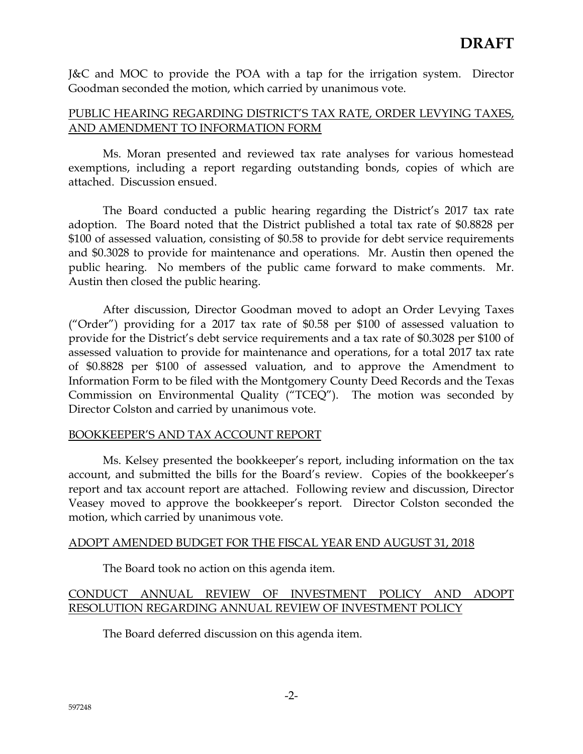J&C and MOC to provide the POA with a tap for the irrigation system. Director Goodman seconded the motion, which carried by unanimous vote.

# PUBLIC HEARING REGARDING DISTRICT'S TAX RATE, ORDER LEVYING TAXES, AND AMENDMENT TO INFORMATION FORM

Ms. Moran presented and reviewed tax rate analyses for various homestead exemptions, including a report regarding outstanding bonds, copies of which are attached. Discussion ensued.

The Board conducted a public hearing regarding the District's 2017 tax rate adoption. The Board noted that the District published a total tax rate of \$0.8828 per \$100 of assessed valuation, consisting of \$0.58 to provide for debt service requirements and \$0.3028 to provide for maintenance and operations. Mr. Austin then opened the public hearing. No members of the public came forward to make comments. Mr. Austin then closed the public hearing.

After discussion, Director Goodman moved to adopt an Order Levying Taxes ("Order") providing for a 2017 tax rate of \$0.58 per \$100 of assessed valuation to provide for the District's debt service requirements and a tax rate of \$0.3028 per \$100 of assessed valuation to provide for maintenance and operations, for a total 2017 tax rate of \$0.8828 per \$100 of assessed valuation, and to approve the Amendment to Information Form to be filed with the Montgomery County Deed Records and the Texas Commission on Environmental Quality ("TCEQ"). The motion was seconded by Director Colston and carried by unanimous vote.

## BOOKKEEPER'S AND TAX ACCOUNT REPORT

Ms. Kelsey presented the bookkeeper's report, including information on the tax account, and submitted the bills for the Board's review. Copies of the bookkeeper's report and tax account report are attached. Following review and discussion, Director Veasey moved to approve the bookkeeper's report. Director Colston seconded the motion, which carried by unanimous vote.

## ADOPT AMENDED BUDGET FOR THE FISCAL YEAR END AUGUST 31, 2018

The Board took no action on this agenda item.

# CONDUCT ANNUAL REVIEW OF INVESTMENT POLICY AND ADOPT RESOLUTION REGARDING ANNUAL REVIEW OF INVESTMENT POLICY

The Board deferred discussion on this agenda item.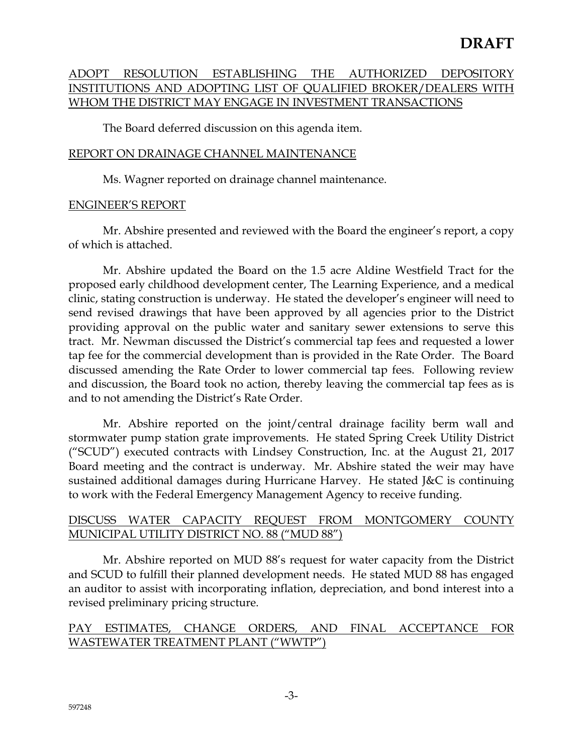# ADOPT RESOLUTION ESTABLISHING THE AUTHORIZED DEPOSITORY INSTITUTIONS AND ADOPTING LIST OF QUALIFIED BROKER/DEALERS WITH WHOM THE DISTRICT MAY ENGAGE IN INVESTMENT TRANSACTIONS

The Board deferred discussion on this agenda item.

## REPORT ON DRAINAGE CHANNEL MAINTENANCE

Ms. Wagner reported on drainage channel maintenance.

## ENGINEER'S REPORT

Mr. Abshire presented and reviewed with the Board the engineer's report, a copy of which is attached.

Mr. Abshire updated the Board on the 1.5 acre Aldine Westfield Tract for the proposed early childhood development center, The Learning Experience, and a medical clinic, stating construction is underway. He stated the developer's engineer will need to send revised drawings that have been approved by all agencies prior to the District providing approval on the public water and sanitary sewer extensions to serve this tract. Mr. Newman discussed the District's commercial tap fees and requested a lower tap fee for the commercial development than is provided in the Rate Order. The Board discussed amending the Rate Order to lower commercial tap fees. Following review and discussion, the Board took no action, thereby leaving the commercial tap fees as is and to not amending the District's Rate Order.

Mr. Abshire reported on the joint/central drainage facility berm wall and stormwater pump station grate improvements. He stated Spring Creek Utility District ("SCUD") executed contracts with Lindsey Construction, Inc. at the August 21, 2017 Board meeting and the contract is underway. Mr. Abshire stated the weir may have sustained additional damages during Hurricane Harvey. He stated J&C is continuing to work with the Federal Emergency Management Agency to receive funding.

## DISCUSS WATER CAPACITY REQUEST FROM MONTGOMERY COUNTY MUNICIPAL UTILITY DISTRICT NO. 88 ("MUD 88")

 Mr. Abshire reported on MUD 88's request for water capacity from the District and SCUD to fulfill their planned development needs. He stated MUD 88 has engaged an auditor to assist with incorporating inflation, depreciation, and bond interest into a revised preliminary pricing structure.

## PAY ESTIMATES, CHANGE ORDERS, AND FINAL ACCEPTANCE FOR WASTEWATER TREATMENT PLANT ("WWTP")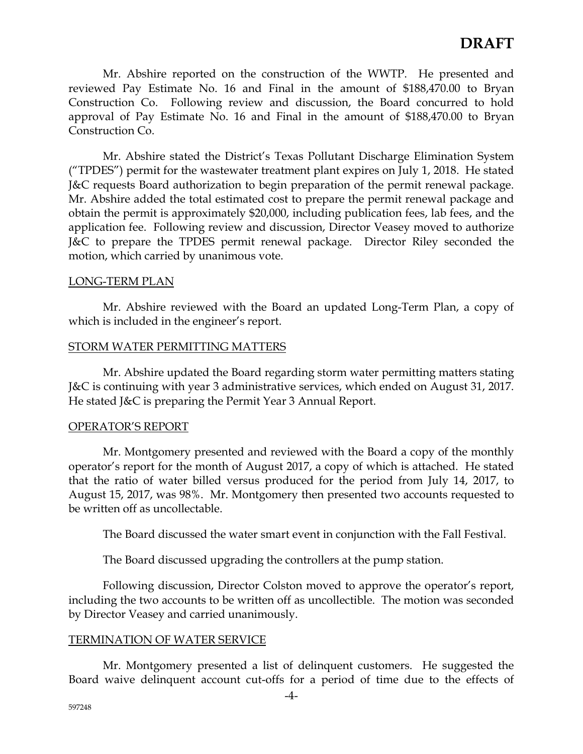Mr. Abshire reported on the construction of the WWTP. He presented and reviewed Pay Estimate No. 16 and Final in the amount of \$188,470.00 to Bryan Construction Co. Following review and discussion, the Board concurred to hold approval of Pay Estimate No. 16 and Final in the amount of \$188,470.00 to Bryan Construction Co.

Mr. Abshire stated the District's Texas Pollutant Discharge Elimination System ("TPDES") permit for the wastewater treatment plant expires on July 1, 2018. He stated J&C requests Board authorization to begin preparation of the permit renewal package. Mr. Abshire added the total estimated cost to prepare the permit renewal package and obtain the permit is approximately \$20,000, including publication fees, lab fees, and the application fee. Following review and discussion, Director Veasey moved to authorize J&C to prepare the TPDES permit renewal package. Director Riley seconded the motion, which carried by unanimous vote.

#### LONG-TERM PLAN

Mr. Abshire reviewed with the Board an updated Long-Term Plan, a copy of which is included in the engineer's report.

#### STORM WATER PERMITTING MATTERS

Mr. Abshire updated the Board regarding storm water permitting matters stating J&C is continuing with year 3 administrative services, which ended on August 31, 2017. He stated J&C is preparing the Permit Year 3 Annual Report.

#### OPERATOR'S REPORT

Mr. Montgomery presented and reviewed with the Board a copy of the monthly operator's report for the month of August 2017, a copy of which is attached. He stated that the ratio of water billed versus produced for the period from July 14, 2017, to August 15, 2017, was 98%. Mr. Montgomery then presented two accounts requested to be written off as uncollectable.

The Board discussed the water smart event in conjunction with the Fall Festival.

The Board discussed upgrading the controllers at the pump station.

Following discussion, Director Colston moved to approve the operator's report, including the two accounts to be written off as uncollectible. The motion was seconded by Director Veasey and carried unanimously.

## TERMINATION OF WATER SERVICE

 Mr. Montgomery presented a list of delinquent customers. He suggested the Board waive delinquent account cut-offs for a period of time due to the effects of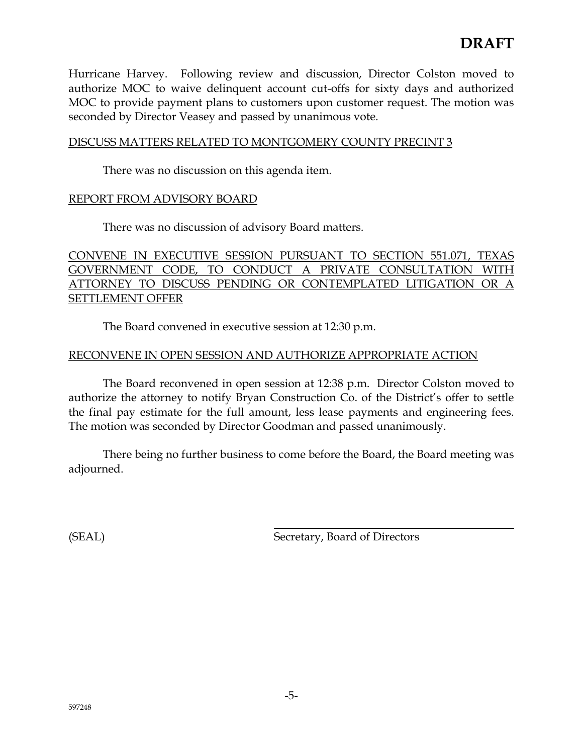Hurricane Harvey. Following review and discussion, Director Colston moved to authorize MOC to waive delinquent account cut-offs for sixty days and authorized MOC to provide payment plans to customers upon customer request. The motion was seconded by Director Veasey and passed by unanimous vote.

## DISCUSS MATTERS RELATED TO MONTGOMERY COUNTY PRECINT 3

There was no discussion on this agenda item.

## REPORT FROM ADVISORY BOARD

There was no discussion of advisory Board matters.

CONVENE IN EXECUTIVE SESSION PURSUANT TO SECTION 551.071, TEXAS GOVERNMENT CODE, TO CONDUCT A PRIVATE CONSULTATION WITH ATTORNEY TO DISCUSS PENDING OR CONTEMPLATED LITIGATION OR A SETTLEMENT OFFER

The Board convened in executive session at 12:30 p.m.

## RECONVENE IN OPEN SESSION AND AUTHORIZE APPROPRIATE ACTION

The Board reconvened in open session at 12:38 p.m. Director Colston moved to authorize the attorney to notify Bryan Construction Co. of the District's offer to settle the final pay estimate for the full amount, less lease payments and engineering fees. The motion was seconded by Director Goodman and passed unanimously.

There being no further business to come before the Board, the Board meeting was adjourned.

(SEAL) Secretary, Board of Directors